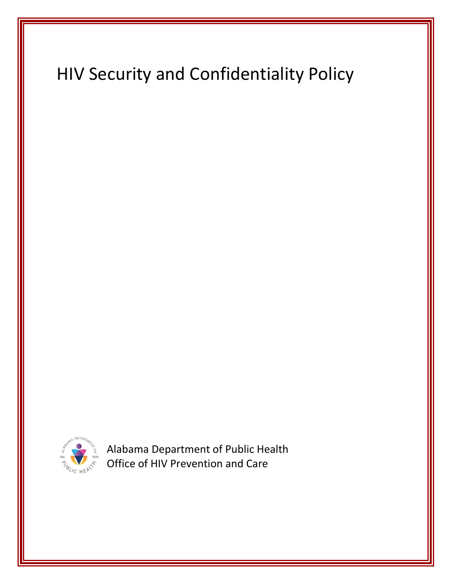# HIV Security and Confidentiality Policy



Alabama Department of Public Health Office of HIV Prevention and Care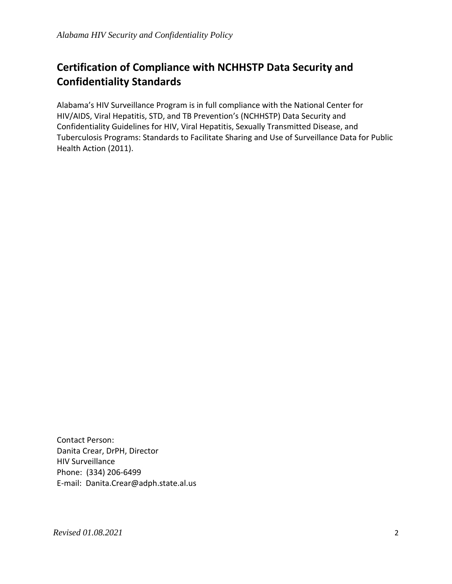# **Certification of Compliance with NCHHSTP Data Security and Confidentiality Standards**

Alabama's HIV Surveillance Program is in full compliance with the National Center for HIV/AIDS, Viral Hepatitis, STD, and TB Prevention's (NCHHSTP) Data Security and Confidentiality Guidelines for HIV, Viral Hepatitis, Sexually Transmitted Disease, and Tuberculosis Programs: Standards to Facilitate Sharing and Use of Surveillance Data for Public Health Action (2011).

Contact Person: Danita Crear, DrPH, Director HIV Surveillance Phone: (334) 206-6499 [E-mail: Danita.Crear@adph.state.al.us](mailto:E-mail:%20%20Danita.Crear@adph.state.al.us)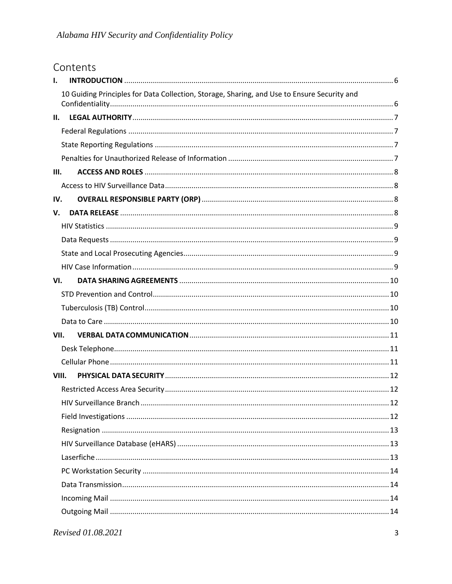# Contents

| I.   |                                                                                             |  |
|------|---------------------------------------------------------------------------------------------|--|
|      | 10 Guiding Principles for Data Collection, Storage, Sharing, and Use to Ensure Security and |  |
| Н.   |                                                                                             |  |
|      |                                                                                             |  |
|      |                                                                                             |  |
|      |                                                                                             |  |
| III. |                                                                                             |  |
|      |                                                                                             |  |
| IV.  |                                                                                             |  |
| V.   |                                                                                             |  |
|      |                                                                                             |  |
|      |                                                                                             |  |
|      |                                                                                             |  |
|      |                                                                                             |  |
| VI.  |                                                                                             |  |
|      |                                                                                             |  |
|      |                                                                                             |  |
|      |                                                                                             |  |
| VII. |                                                                                             |  |
|      |                                                                                             |  |
|      |                                                                                             |  |
|      | VIII.                                                                                       |  |
|      |                                                                                             |  |
|      |                                                                                             |  |
|      |                                                                                             |  |
|      |                                                                                             |  |
|      |                                                                                             |  |
|      |                                                                                             |  |
|      |                                                                                             |  |
|      |                                                                                             |  |
|      |                                                                                             |  |
|      |                                                                                             |  |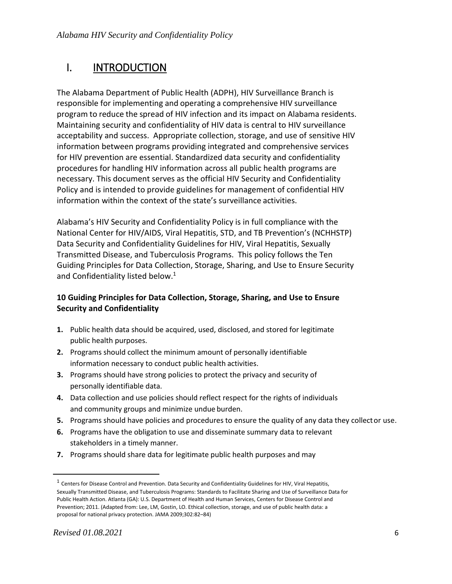# <span id="page-5-0"></span>I. INTRODUCTION

The Alabama Department of Public Health (ADPH), HIV Surveillance Branch is responsible for implementing and operating a comprehensive HIV surveillance program to reduce the spread of HIV infection and its impact on Alabama residents. Maintaining security and confidentiality of HIV data is central to HIV surveillance acceptability and success. Appropriate collection, storage, and use of sensitive HIV information between programs providing integrated and comprehensive services for HIV prevention are essential. Standardized data security and confidentiality procedures for handling HIV information across all public health programs are necessary. This document serves as the official HIV Security and Confidentiality Policy and is intended to provide guidelines for management of confidential HIV information within the context of the state's surveillance activities.

Alabama's HIV Security and Confidentiality Policy is in full compliance with the National Center for HIV/AIDS, Viral Hepatitis, STD, and TB Prevention's (NCHHSTP) Data Security and Confidentiality Guidelines for HIV, Viral Hepatitis, Sexually Transmitted Disease, and Tuberculosis Programs. This policy follows the Ten Guiding Principles for Data Collection, Storage, Sharing, and Use to Ensure Security and Confidentiality listed below. 1

#### <span id="page-5-1"></span>**10 Guiding Principles for Data Collection, Storage, Sharing, and Use to Ensure Security and Confidentiality**

- **1.** Public health data should be acquired, used, disclosed, and stored for legitimate public health purposes.
- **2.** Programs should collect the minimum amount of personally identifiable information necessary to conduct public health activities.
- **3.** Programs should have strong policies to protect the privacy and security of personally identifiable data.
- **4.** Data collection and use policies should reflect respect for the rights of individuals and community groups and minimize undue burden.
- **5.** Programs should have policies and procedures to ensure the quality of any data they collector use.
- **6.** Programs have the obligation to use and disseminate summary data to relevant stakeholders in a timely manner.
- **7.** Programs should share data for legitimate public health purposes and may

 $\overline{\phantom{a}}$ 

 $^1$  Centers for Disease Control and Prevention. Data Security and Confidentiality Guidelines for HIV, Viral Hepatitis, Sexually Transmitted Disease, and Tuberculosis Programs: Standards to Facilitate Sharing and Use of Surveillance Data for Public Health Action. Atlanta (GA): U.S. Department of Health and Human Services, Centers for Disease Control and Prevention; 2011. (Adapted from: Lee, LM, Gostin, LO. Ethical collection, storage, and use of public health data: a proposal for national privacy protection. JAMA 2009;302:82–84)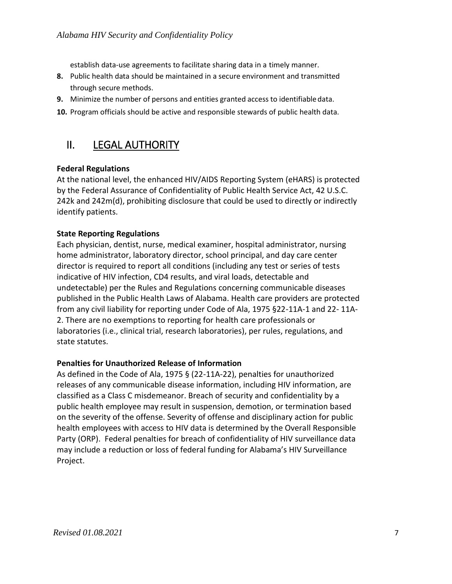establish data-use agreements to facilitate sharing data in a timely manner.

- **8.** Public health data should be maintained in a secure environment and transmitted through secure methods.
- **9.** Minimize the number of persons and entities granted access to identifiabledata.
- **10.** Program officials should be active and responsible stewards of public health data.

### <span id="page-6-0"></span>II. LEGAL AUTHORITY

#### <span id="page-6-1"></span>**Federal Regulations**

At the national level, the enhanced HIV/AIDS Reporting System (eHARS) is protected by the Federal Assurance of Confidentiality of Public Health Service Act, 42 U.S.C. 242k and 242m(d), prohibiting disclosure that could be used to directly or indirectly identify patients.

#### <span id="page-6-2"></span>**State Reporting Regulations**

Each physician, dentist, nurse, medical examiner, hospital administrator, nursing home administrator, laboratory director, school principal, and day care center director is required to report all conditions (including any test or series of tests indicative of HIV infection, CD4 results, and viral loads, detectable and undetectable) per the Rules and Regulations concerning communicable diseases published in the Public Health Laws of Alabama. Health care providers are protected from any civil liability for reporting under Code of Ala, 1975 §22-11A-1 and 22- 11A-2. There are no exemptions to reporting for health care professionals or laboratories (i.e., clinical trial, research laboratories), per rules, regulations, and state statutes.

#### <span id="page-6-3"></span>**Penalties for Unauthorized Release of Information**

As defined in the Code of Ala, 1975 § (22-11A-22), penalties for unauthorized releases of any communicable disease information, including HIV information, are classified as a Class C misdemeanor. Breach of security and confidentiality by a public health employee may result in suspension, demotion, or termination based on the severity of the offense. Severity of offense and disciplinary action for public health employees with access to HIV data is determined by the Overall Responsible Party (ORP). Federal penalties for breach of confidentiality of HIV surveillance data may include a reduction or loss of federal funding for Alabama's HIV Surveillance Project.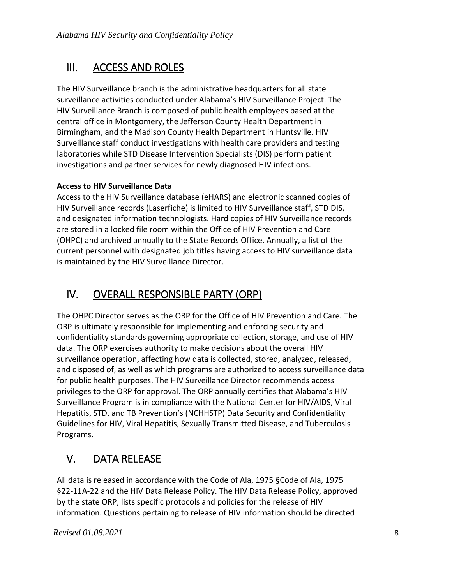# <span id="page-7-0"></span>III. ACCESS AND ROLES

The HIV Surveillance branch is the administrative headquarters for all state surveillance activities conducted under Alabama's HIV Surveillance Project. The HIV Surveillance Branch is composed of public health employees based at the central office in Montgomery, the Jefferson County Health Department in Birmingham, and the Madison County Health Department in Huntsville. HIV Surveillance staff conduct investigations with health care providers and testing laboratories while STD Disease Intervention Specialists (DIS) perform patient investigations and partner services for newly diagnosed HIV infections.

#### <span id="page-7-1"></span>**Access to HIV Surveillance Data**

Access to the HIV Surveillance database (eHARS) and electronic scanned copies of HIV Surveillance records (Laserfiche) is limited to HIV Surveillance staff, STD DIS, and designated information technologists. Hard copies of HIV Surveillance records are stored in a locked file room within the Office of HIV Prevention and Care (OHPC) and archived annually to the State Records Office. Annually, a list of the current personnel with designated job titles having access to HIV surveillance data is maintained by the HIV Surveillance Director.

## <span id="page-7-2"></span>IV. OVERALL RESPONSIBLE PARTY (ORP)

The OHPC Director serves as the ORP for the Office of HIV Prevention and Care. The ORP is ultimately responsible for implementing and enforcing security and confidentiality standards governing appropriate collection, storage, and use of HIV data. The ORP exercises authority to make decisions about the overall HIV surveillance operation, affecting how data is collected, stored, analyzed, released, and disposed of, as well as which programs are authorized to access surveillance data for public health purposes. The HIV Surveillance Director recommends access privileges to the ORP for approval. The ORP annually certifies that Alabama's HIV Surveillance Program is in compliance with the National Center for HIV/AIDS, Viral Hepatitis, STD, and TB Prevention's (NCHHSTP) Data Security and Confidentiality Guidelines for HIV, Viral Hepatitis, Sexually Transmitted Disease, and Tuberculosis Programs.

# <span id="page-7-3"></span>V. DATA RELEASE

All data is released in accordance with the Code of Ala, 1975 §Code of Ala, 1975 §22-11A-22 and the HIV Data Release Policy. The HIV Data Release Policy, approved by the state ORP, lists specific protocols and policies for the release of HIV information. Questions pertaining to release of HIV information should be directed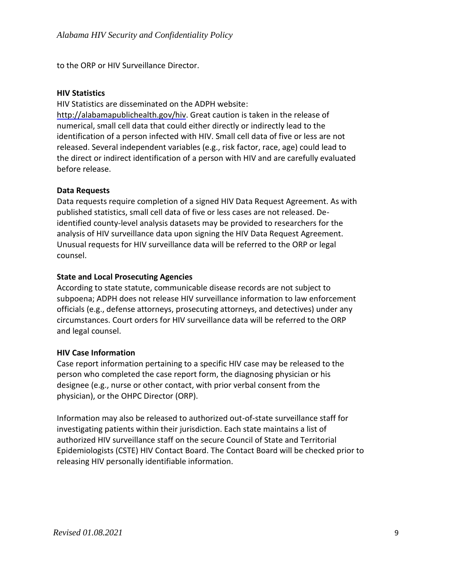to the ORP or HIV Surveillance Director.

#### <span id="page-8-0"></span>**HIV Statistics**

HIV Statistics are disseminated on the ADPH website:

[http://alabamapublichealth.gov](http://alabamapublichealth.go/)/hiv. Great caution is taken in the release of numerical, small cell data that could either directly or indirectly lead to the identification of a person infected with HIV. Small cell data of five or less are not released. Several independent variables (e.g., risk factor, race, age) could lead to the direct or indirect identification of a person with HIV and are carefully evaluated before release.

#### <span id="page-8-1"></span>**Data Requests**

Data requests require completion of a signed HIV Data Request Agreement. As with published statistics, small cell data of five or less cases are not released. Deidentified county-level analysis datasets may be provided to researchers for the analysis of HIV surveillance data upon signing the HIV Data Request Agreement. Unusual requests for HIV surveillance data will be referred to the ORP or legal counsel.

#### <span id="page-8-2"></span>**State and Local Prosecuting Agencies**

According to state statute, communicable disease records are not subject to subpoena; ADPH does not release HIV surveillance information to law enforcement officials (e.g., defense attorneys, prosecuting attorneys, and detectives) under any circumstances. Court orders for HIV surveillance data will be referred to the ORP and legal counsel.

#### <span id="page-8-3"></span>**HIV Case Information**

Case report information pertaining to a specific HIV case may be released to the person who completed the case report form, the diagnosing physician or his designee (e.g., nurse or other contact, with prior verbal consent from the physician), or the OHPC Director (ORP).

Information may also be released to authorized out-of-state surveillance staff for investigating patients within their jurisdiction. Each state maintains a list of authorized HIV surveillance staff on the secure Council of State and Territorial Epidemiologists (CSTE) HIV Contact Board. The Contact Board will be checked prior to releasing HIV personally identifiable information.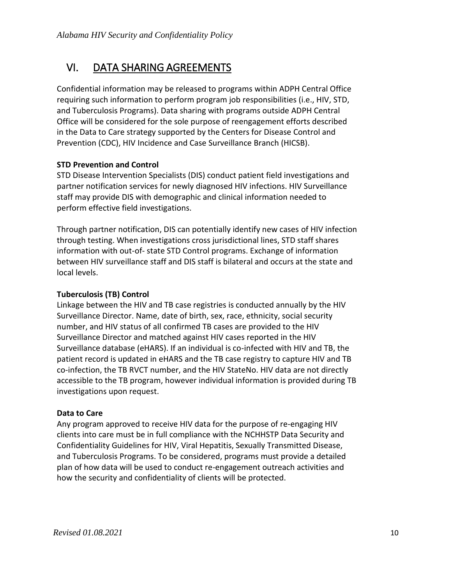### <span id="page-9-0"></span>VI. DATA SHARING AGREEMENTS

Confidential information may be released to programs within ADPH Central Office requiring such information to perform program job responsibilities (i.e., HIV, STD, and Tuberculosis Programs). Data sharing with programs outside ADPH Central Office will be considered for the sole purpose of reengagement efforts described in the Data to Care strategy supported by the Centers for Disease Control and Prevention (CDC), HIV Incidence and Case Surveillance Branch (HICSB).

#### <span id="page-9-1"></span>**STD Prevention and Control**

STD Disease Intervention Specialists (DIS) conduct patient field investigations and partner notification services for newly diagnosed HIV infections. HIV Surveillance staff may provide DIS with demographic and clinical information needed to perform effective field investigations.

Through partner notification, DIS can potentially identify new cases of HIV infection through testing. When investigations cross jurisdictional lines, STD staff shares information with out-of- state STD Control programs. Exchange of information between HIV surveillance staff and DIS staff is bilateral and occurs at the state and local levels.

#### <span id="page-9-2"></span>**Tuberculosis (TB) Control**

Linkage between the HIV and TB case registries is conducted annually by the HIV Surveillance Director. Name, date of birth, sex, race, ethnicity, social security number, and HIV status of all confirmed TB cases are provided to the HIV Surveillance Director and matched against HIV cases reported in the HIV Surveillance database (eHARS). If an individual is co-infected with HIV and TB, the patient record is updated in eHARS and the TB case registry to capture HIV and TB co-infection, the TB RVCT number, and the HIV StateNo. HIV data are not directly accessible to the TB program, however individual information is provided during TB investigations upon request.

#### <span id="page-9-3"></span>**Data to Care**

Any program approved to receive HIV data for the purpose of re-engaging HIV clients into care must be in full compliance with the NCHHSTP Data Security and Confidentiality Guidelines for HIV, Viral Hepatitis, Sexually Transmitted Disease, and Tuberculosis Programs. To be considered, programs must provide a detailed plan of how data will be used to conduct re-engagement outreach activities and how the security and confidentiality of clients will be protected.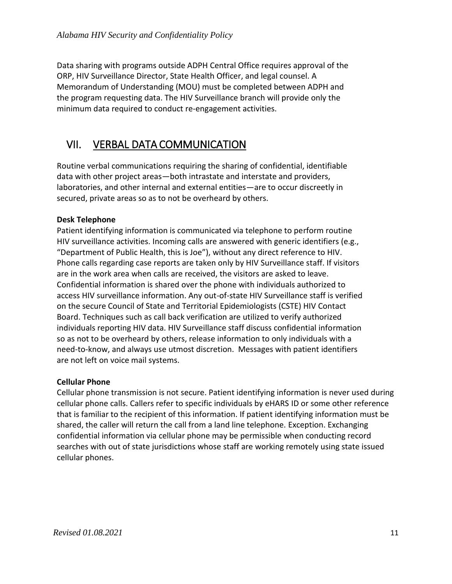Data sharing with programs outside ADPH Central Office requires approval of the ORP, HIV Surveillance Director, State Health Officer, and legal counsel. A Memorandum of Understanding (MOU) must be completed between ADPH and the program requesting data. The HIV Surveillance branch will provide only the minimum data required to conduct re-engagement activities.

### <span id="page-10-0"></span>VII. VERBAL DATA COMMUNICATION

Routine verbal communications requiring the sharing of confidential, identifiable data with other project areas—both intrastate and interstate and providers, laboratories, and other internal and external entities—are to occur discreetly in secured, private areas so as to not be overheard by others.

#### <span id="page-10-1"></span>**Desk Telephone**

Patient identifying information is communicated via telephone to perform routine HIV surveillance activities. Incoming calls are answered with generic identifiers (e.g., "Department of Public Health, this is Joe"), without any direct reference to HIV. Phone calls regarding case reports are taken only by HIV Surveillance staff. If visitors are in the work area when calls are received, the visitors are asked to leave. Confidential information is shared over the phone with individuals authorized to access HIV surveillance information. Any out-of-state HIV Surveillance staff is verified on the secure Council of State and Territorial Epidemiologists (CSTE) HIV Contact Board. Techniques such as call back verification are utilized to verify authorized individuals reporting HIV data. HIV Surveillance staff discuss confidential information so as not to be overheard by others, release information to only individuals with a need-to-know, and always use utmost discretion. Messages with patient identifiers are not left on voice mail systems.

#### <span id="page-10-2"></span>**Cellular Phone**

Cellular phone transmission is not secure. Patient identifying information is never used during cellular phone calls. Callers refer to specific individuals by eHARS ID or some other reference that is familiar to the recipient of this information. If patient identifying information must be shared, the caller will return the call from a land line telephone. Exception. Exchanging confidential information via cellular phone may be permissible when conducting record searches with out of state jurisdictions whose staff are working remotely using state issued cellular phones.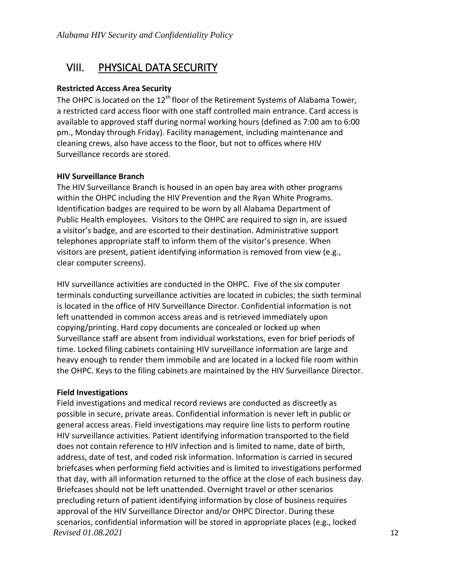### <span id="page-11-0"></span>VIII. PHYSICAL DATA SECURITY

#### <span id="page-11-1"></span>**Restricted Access Area Security**

The OHPC is located on the 12<sup>th</sup> floor of the Retirement Systems of Alabama Tower, a restricted card access floor with one staff controlled main entrance. Card access is available to approved staff during normal working hours (defined as 7:00 am to 6:00 pm., Monday through Friday). Facility management, including maintenance and cleaning crews, also have access to the floor, but not to offices where HIV Surveillance records are stored.

#### <span id="page-11-2"></span>**HIV Surveillance Branch**

The HIV Surveillance Branch is housed in an open bay area with other programs within the OHPC including the HIV Prevention and the Ryan White Programs. Identification badges are required to be worn by all Alabama Department of Public Health employees. Visitors to the OHPC are required to sign in, are issued a visitor's badge, and are escorted to their destination. Administrative support telephones appropriate staff to inform them of the visitor's presence. When visitors are present, patient identifying information is removed from view (e.g., clear computer screens).

HIV surveillance activities are conducted in the OHPC. Five of the six computer terminals conducting surveillance activities are located in cubicles; the sixth terminal is located in the office of HIV Surveillance Director. Confidential information is not left unattended in common access areas and is retrieved immediately upon copying/printing. Hard copy documents are concealed or locked up when Surveillance staff are absent from individual workstations, even for brief periods of time. Locked filing cabinets containing HIV surveillance information are large and heavy enough to render them immobile and are located in a locked file room within the OHPC. Keys to the filing cabinets are maintained by the HIV Surveillance Director.

#### <span id="page-11-3"></span>**Field Investigations**

*Revised* 01.08.2021 12 Field investigations and medical record reviews are conducted as discreetly as possible in secure, private areas. Confidential information is never left in public or general access areas. Field investigations may require line lists to perform routine HIV surveillance activities. Patient identifying information transported to the field does not contain reference to HIV infection and is limited to name, date of birth, address, date of test, and coded risk information. Information is carried in secured briefcases when performing field activities and is limited to investigations performed that day, with all information returned to the office at the close of each business day. Briefcases should not be left unattended. Overnight travel or other scenarios precluding return of patient identifying information by close of business requires approval of the HIV Surveillance Director and/or OHPC Director. During these scenarios, confidential information will be stored in appropriate places (e.g., locked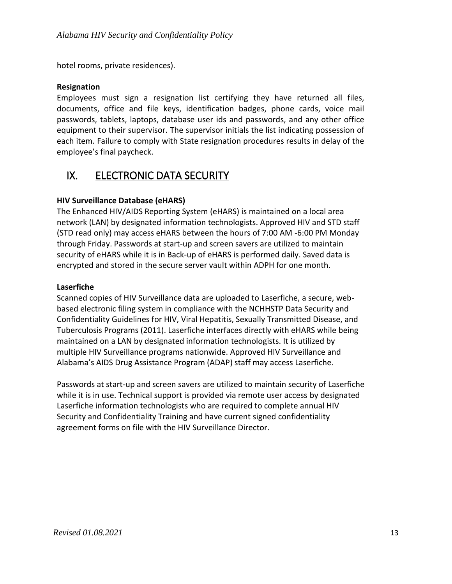hotel rooms, private residences).

#### <span id="page-12-0"></span>**Resignation**

Employees must sign a resignation list certifying they have returned all files, documents, office and file keys, identification badges, phone cards, voice mail passwords, tablets, laptops, database user ids and passwords, and any other office equipment to their supervisor. The supervisor initials the list indicating possession of each item. Failure to comply with State resignation procedures results in delay of the employee's final paycheck.

### IX. ELECTRONIC DATA SECURITY

#### <span id="page-12-1"></span>**HIV Surveillance Database (eHARS)**

The Enhanced HIV/AIDS Reporting System (eHARS) is maintained on a local area network (LAN) by designated information technologists. Approved HIV and STD staff (STD read only) may access eHARS between the hours of 7:00 AM -6:00 PM Monday through Friday. Passwords at start-up and screen savers are utilized to maintain security of eHARS while it is in Back-up of eHARS is performed daily. Saved data is encrypted and stored in the secure server vault within ADPH for one month.

#### <span id="page-12-2"></span>**Laserfiche**

Scanned copies of HIV Surveillance data are uploaded to Laserfiche, a secure, webbased electronic filing system in compliance with the NCHHSTP Data Security and Confidentiality Guidelines for HIV, Viral Hepatitis, Sexually Transmitted Disease, and Tuberculosis Programs (2011). Laserfiche interfaces directly with eHARS while being maintained on a LAN by designated information technologists. It is utilized by multiple HIV Surveillance programs nationwide. Approved HIV Surveillance and Alabama's AIDS Drug Assistance Program (ADAP) staff may access Laserfiche.

Passwords at start-up and screen savers are utilized to maintain security of Laserfiche while it is in use. Technical support is provided via remote user access by designated Laserfiche information technologists who are required to complete annual HIV Security and Confidentiality Training and have current signed confidentiality agreement forms on file with the HIV Surveillance Director.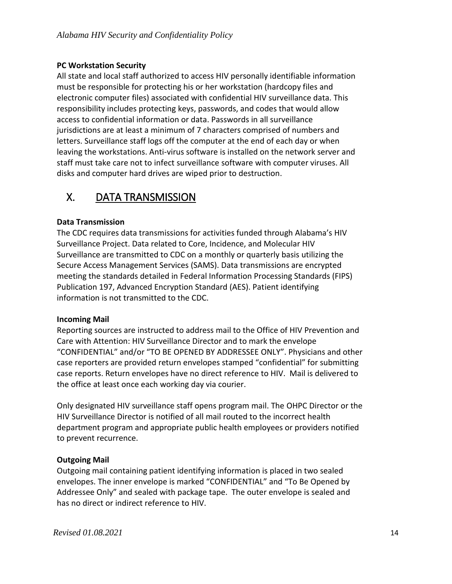#### <span id="page-13-0"></span>**PC Workstation Security**

All state and local staff authorized to access HIV personally identifiable information must be responsible for protecting his or her workstation (hardcopy files and electronic computer files) associated with confidential HIV surveillance data. This responsibility includes protecting keys, passwords, and codes that would allow access to confidential information or data. Passwords in all surveillance jurisdictions are at least a minimum of 7 characters comprised of numbers and letters. Surveillance staff logs off the computer at the end of each day or when leaving the workstations. Anti-virus software is installed on the network server and staff must take care not to infect surveillance software with computer viruses. All disks and computer hard drives are wiped prior to destruction.

### X. DATA TRANSMISSION

#### <span id="page-13-1"></span>**Data Transmission**

The CDC requires data transmissions for activities funded through Alabama's HIV Surveillance Project. Data related to Core, Incidence, and Molecular HIV Surveillance are transmitted to CDC on a monthly or quarterly basis utilizing the Secure Access Management Services (SAMS). Data transmissions are encrypted meeting the standards detailed in Federal Information Processing Standards (FIPS) Publication 197, Advanced Encryption Standard (AES). Patient identifying information is not transmitted to the CDC.

#### <span id="page-13-2"></span>**Incoming Mail**

Reporting sources are instructed to address mail to the Office of HIV Prevention and Care with Attention: HIV Surveillance Director and to mark the envelope "CONFIDENTIAL" and/or "TO BE OPENED BY ADDRESSEE ONLY". Physicians and other case reporters are provided return envelopes stamped "confidential" for submitting case reports. Return envelopes have no direct reference to HIV. Mail is delivered to the office at least once each working day via courier.

Only designated HIV surveillance staff opens program mail. The OHPC Director or the HIV Surveillance Director is notified of all mail routed to the incorrect health department program and appropriate public health employees or providers notified to prevent recurrence.

#### <span id="page-13-3"></span>**Outgoing Mail**

Outgoing mail containing patient identifying information is placed in two sealed envelopes. The inner envelope is marked "CONFIDENTIAL" and "To Be Opened by Addressee Only" and sealed with package tape. The outer envelope is sealed and has no direct or indirect reference to HIV.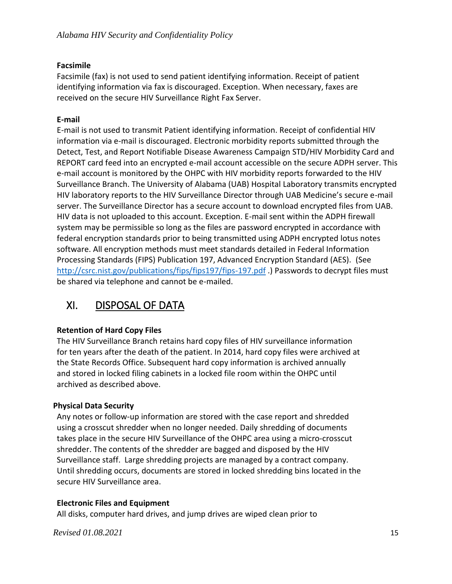#### <span id="page-14-0"></span>**Facsimile**

Facsimile (fax) is not used to send patient identifying information. Receipt of patient identifying information via fax is discouraged. Exception. When necessary, faxes are received on the secure HIV Surveillance Right Fax Server.

#### <span id="page-14-1"></span>**E-mail**

E-mail is not used to transmit Patient identifying information. Receipt of confidential HIV information via e-mail is discouraged. Electronic morbidity reports submitted through the Detect, Test, and Report Notifiable Disease Awareness Campaign STD/HIV Morbidity Card and REPORT card feed into an encrypted e-mail account accessible on the secure ADPH server. This e-mail account is monitored by the OHPC with HIV morbidity reports forwarded to the HIV Surveillance Branch. The University of Alabama (UAB) Hospital Laboratory transmits encrypted HIV laboratory reports to the HIV Surveillance Director through UAB Medicine's secure e-mail server. The Surveillance Director has a secure account to download encrypted files from UAB. HIV data is not uploaded to this account. Exception. E-mail sent within the ADPH firewall system may be permissible so long as the files are password encrypted in accordance with federal encryption standards prior to being transmitted using ADPH encrypted lotus notes software. All encryption methods must meet standards detailed in Federal Information Processing Standards (FIPS) Publication 197, Advanced Encryption Standard (AES). (See <http://csrc.nist.gov/publications/fips/fips197/fips-197.pdf> .) Passwords to decrypt files must be shared via telephone and cannot be e-mailed.

# XI. DISPOSAL OF DATA

#### <span id="page-14-2"></span>**Retention of Hard Copy Files**

The HIV Surveillance Branch retains hard copy files of HIV surveillance information for ten years after the death of the patient. In 2014, hard copy files were archived at the State Records Office. Subsequent hard copy information is archived annually and stored in locked filing cabinets in a locked file room within the OHPC until archived as described above.

#### **Physical Data Security**

Any notes or follow-up information are stored with the case report and shredded using a crosscut shredder when no longer needed. Daily shredding of documents takes place in the secure HIV Surveillance of the OHPC area using a micro-crosscut shredder. The contents of the shredder are bagged and disposed by the HIV Surveillance staff. Large shredding projects are managed by a contract company. Until shredding occurs, documents are stored in locked shredding bins located in the secure HIV Surveillance area.

#### <span id="page-14-3"></span>**Electronic Files and Equipment**

All disks, computer hard drives, and jump drives are wiped clean prior to

*Revised* 01.08.2021 15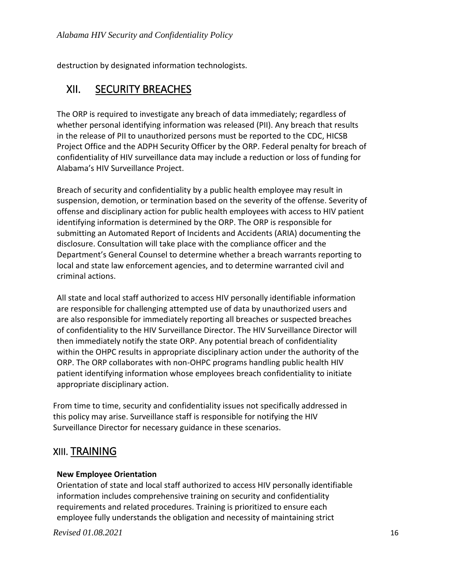destruction by designated information technologists.

### XII. SECURITY BREACHES

The ORP is required to investigate any breach of data immediately; regardless of whether personal identifying information was released (PII). Any breach that results in the release of PII to unauthorized persons must be reported to the CDC, HICSB Project Office and the ADPH Security Officer by the ORP. Federal penalty for breach of confidentiality of HIV surveillance data may include a reduction or loss of funding for Alabama's HIV Surveillance Project.

Breach of security and confidentiality by a public health employee may result in suspension, demotion, or termination based on the severity of the offense. Severity of offense and disciplinary action for public health employees with access to HIV patient identifying information is determined by the ORP. The ORP is responsible for submitting an Automated Report of Incidents and Accidents (ARIA) documenting the disclosure. Consultation will take place with the compliance officer and the Department's General Counsel to determine whether a breach warrants reporting to local and state law enforcement agencies, and to determine warranted civil and criminal actions.

All state and local staff authorized to access HIV personally identifiable information are responsible for challenging attempted use of data by unauthorized users and are also responsible for immediately reporting all breaches or suspected breaches of confidentiality to the HIV Surveillance Director. The HIV Surveillance Director will then immediately notify the state ORP. Any potential breach of confidentiality within the OHPC results in appropriate disciplinary action under the authority of the ORP. The ORP collaborates with non-OHPC programs handling public health HIV patient identifying information whose employees breach confidentiality to initiate appropriate disciplinary action.

From time to time, security and confidentiality issues not specifically addressed in this policy may arise. Surveillance staff is responsible for notifying the HIV Surveillance Director for necessary guidance in these scenarios.

### XIII. TRAINING

#### <span id="page-15-0"></span>**New Employee Orientation**

Orientation of state and local staff authorized to access HIV personally identifiable information includes comprehensive training on security and confidentiality requirements and related procedures. Training is prioritized to ensure each employee fully understands the obligation and necessity of maintaining strict

*Revised* 01.08.2021 16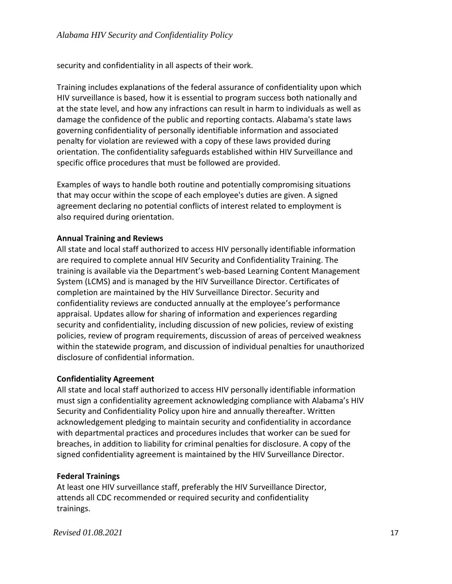security and confidentiality in all aspects of their work.

Training includes explanations of the federal assurance of confidentiality upon which HIV surveillance is based, how it is essential to program success both nationally and at the state level, and how any infractions can result in harm to individuals as well as damage the confidence of the public and reporting contacts. Alabama's state laws governing confidentiality of personally identifiable information and associated penalty for violation are reviewed with a copy of these laws provided during orientation. The confidentiality safeguards established within HIV Surveillance and specific office procedures that must be followed are provided.

Examples of ways to handle both routine and potentially compromising situations that may occur within the scope of each employee's duties are given. A signed agreement declaring no potential conflicts of interest related to employment is also required during orientation.

#### <span id="page-16-0"></span>**Annual Training and Reviews**

All state and local staff authorized to access HIV personally identifiable information are required to complete annual HIV Security and Confidentiality Training. The training is available via the Department's web-based Learning Content Management System (LCMS) and is managed by the HIV Surveillance Director. Certificates of completion are maintained by the HIV Surveillance Director. Security and confidentiality reviews are conducted annually at the employee's performance appraisal. Updates allow for sharing of information and experiences regarding security and confidentiality, including discussion of new policies, review of existing policies, review of program requirements, discussion of areas of perceived weakness within the statewide program, and discussion of individual penalties for unauthorized disclosure of confidential information.

#### <span id="page-16-1"></span>**Confidentiality Agreement**

All state and local staff authorized to access HIV personally identifiable information must sign a confidentiality agreement acknowledging compliance with Alabama's HIV Security and Confidentiality Policy upon hire and annually thereafter. Written acknowledgement pledging to maintain security and confidentiality in accordance with departmental practices and procedures includes that worker can be sued for breaches, in addition to liability for criminal penalties for disclosure. A copy of the signed confidentiality agreement is maintained by the HIV Surveillance Director.

#### <span id="page-16-2"></span>**Federal Trainings**

At least one HIV surveillance staff, preferably the HIV Surveillance Director, attends all CDC recommended or required security and confidentiality trainings.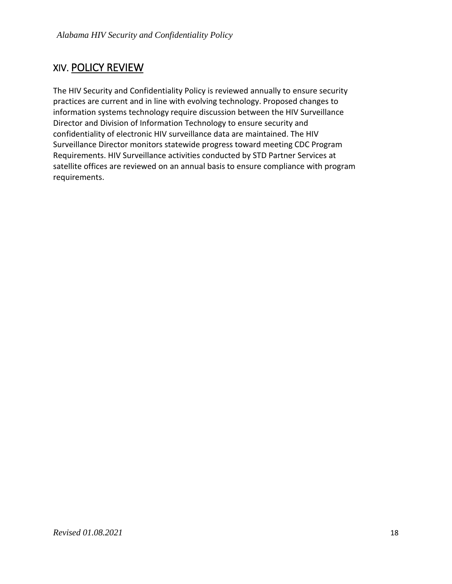### XIV. POLICY REVIEW

The HIV Security and Confidentiality Policy is reviewed annually to ensure security practices are current and in line with evolving technology. Proposed changes to information systems technology require discussion between the HIV Surveillance Director and Division of Information Technology to ensure security and confidentiality of electronic HIV surveillance data are maintained. The HIV Surveillance Director monitors statewide progress toward meeting CDC Program Requirements. HIV Surveillance activities conducted by STD Partner Services at satellite offices are reviewed on an annual basis to ensure compliance with program requirements.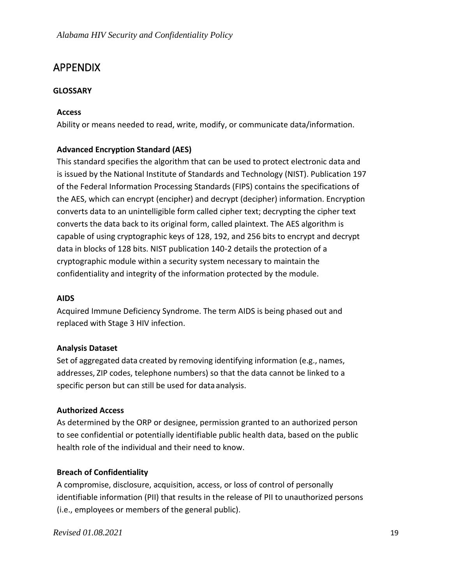### <span id="page-18-0"></span>APPENDIX

#### **GLOSSARY**

#### <span id="page-18-1"></span>**Access**

Ability or means needed to read, write, modify, or communicate data/information.

#### <span id="page-18-2"></span>**Advanced Encryption Standard (AES)**

This standard specifies the algorithm that can be used to protect electronic data and is issued by the National Institute of Standards and Technology (NIST). Publication 197 of the Federal Information Processing Standards (FIPS) contains the specifications of the AES, which can encrypt (encipher) and decrypt (decipher) information. Encryption converts data to an unintelligible form called cipher text; decrypting the cipher text converts the data back to its original form, called plaintext. The AES algorithm is capable of using cryptographic keys of 128, 192, and 256 bits to encrypt and decrypt data in blocks of 128 bits. NIST publication 140-2 details the protection of a cryptographic module within a security system necessary to maintain the confidentiality and integrity of the information protected by the module.

#### <span id="page-18-3"></span>**AIDS**

Acquired Immune Deficiency Syndrome. The term AIDS is being phased out and replaced with Stage 3 HIV infection.

#### <span id="page-18-4"></span>**Analysis Dataset**

Set of aggregated data created by removing identifying information (e.g., names, addresses, ZIP codes, telephone numbers) so that the data cannot be linked to a specific person but can still be used for data analysis.

#### <span id="page-18-5"></span>**Authorized Access**

As determined by the ORP or designee, permission granted to an authorized person to see confidential or potentially identifiable public health data, based on the public health role of the individual and their need to know.

#### <span id="page-18-6"></span>**Breach of Confidentiality**

A compromise, disclosure, acquisition, access, or loss of control of personally identifiable information (PII) that results in the release of PII to unauthorized persons (i.e., employees or members of the general public).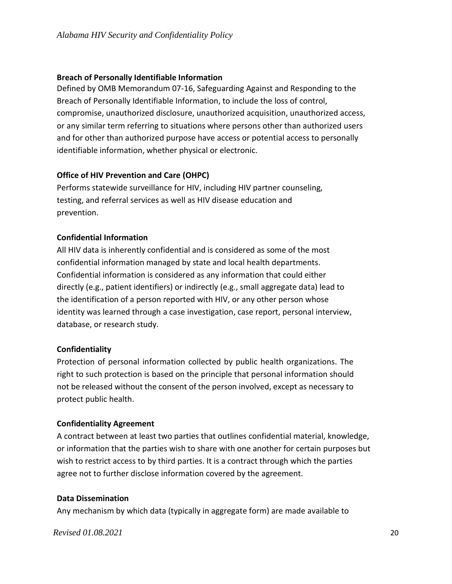#### <span id="page-19-0"></span>**Breach of Personally Identifiable Information**

Defined by OMB Memorandum 07-16, Safeguarding Against and Responding to the Breach of Personally Identifiable Information, to include the loss of control, compromise, unauthorized disclosure, unauthorized acquisition, unauthorized access, or any similar term referring to situations where persons other than authorized users and for other than authorized purpose have access or potential access to personally identifiable information, whether physical or electronic.

#### <span id="page-19-1"></span>**Office of HIV Prevention and Care (OHPC)**

Performs statewide surveillance for HIV, including HIV partner counseling, testing, and referral services as well as HIV disease education and prevention.

#### <span id="page-19-2"></span>**Confidential Information**

All HIV data is inherently confidential and is considered as some of the most confidential information managed by state and local health departments. Confidential information is considered as any information that could either directly (e.g., patient identifiers) or indirectly (e.g., small aggregate data) lead to the identification of a person reported with HIV, or any other person whose identity was learned through a case investigation, case report, personal interview, database, or research study.

#### <span id="page-19-3"></span>**Confidentiality**

Protection of personal information collected by public health organizations. The right to such protection is based on the principle that personal information should not be released without the consent of the person involved, except as necessary to protect public health.

#### <span id="page-19-4"></span>**Confidentiality Agreement**

A contract between at least two parties that outlines confidential material, knowledge, or information that the parties wish to share with one another for certain purposes but wish to restrict access to by third parties. It is a contract through which the parties agree not to further disclose information covered by the agreement.

#### <span id="page-19-5"></span>**Data Dissemination**

Any mechanism by which data (typically in aggregate form) are made available to

*Revised 01.08.2021* 20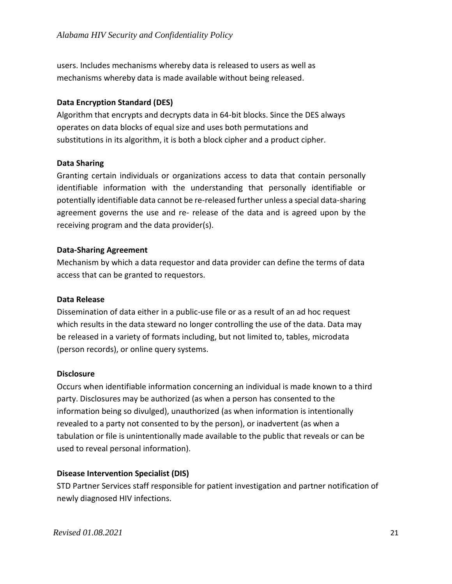users. Includes mechanisms whereby data is released to users as well as mechanisms whereby data is made available without being released.

#### <span id="page-20-0"></span>**Data Encryption Standard (DES)**

Algorithm that encrypts and decrypts data in 64-bit blocks. Since the DES always operates on data blocks of equal size and uses both permutations and substitutions in its algorithm, it is both a block cipher and a product cipher.

#### <span id="page-20-1"></span>**Data Sharing**

Granting certain individuals or organizations access to data that contain personally identifiable information with the understanding that personally identifiable or potentially identifiable data cannot be re-released further unless a special data-sharing agreement governs the use and re- release of the data and is agreed upon by the receiving program and the data provider(s).

#### <span id="page-20-2"></span>**Data-Sharing Agreement**

Mechanism by which a data requestor and data provider can define the terms of data access that can be granted to requestors.

#### <span id="page-20-3"></span>**Data Release**

Dissemination of data either in a public-use file or as a result of an ad hoc request which results in the data steward no longer controlling the use of the data. Data may be released in a variety of formats including, but not limited to, tables, microdata (person records), or online query systems.

#### <span id="page-20-4"></span>**Disclosure**

Occurs when identifiable information concerning an individual is made known to a third party. Disclosures may be authorized (as when a person has consented to the information being so divulged), unauthorized (as when information is intentionally revealed to a party not consented to by the person), or inadvertent (as when a tabulation or file is unintentionally made available to the public that reveals or can be used to reveal personal information).

#### <span id="page-20-5"></span>**Disease Intervention Specialist (DIS)**

STD Partner Services staff responsible for patient investigation and partner notification of newly diagnosed HIV infections.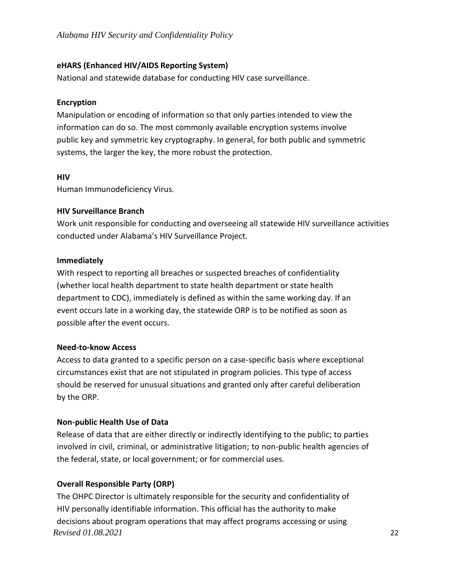#### <span id="page-21-0"></span>**eHARS (Enhanced HIV/AIDS Reporting System)**

National and statewide database for conducting HIV case surveillance.

#### <span id="page-21-1"></span>**Encryption**

Manipulation or encoding of information so that only parties intended to view the information can do so. The most commonly available encryption systems involve public key and symmetric key cryptography. In general, for both public and symmetric systems, the larger the key, the more robust the protection.

#### <span id="page-21-2"></span>**HIV**

Human Immunodeficiency Virus.

#### <span id="page-21-3"></span>**HIV Surveillance Branch**

Work unit responsible for conducting and overseeing all statewide HIV surveillance activities conducted under Alabama's HIV Surveillance Project.

#### <span id="page-21-4"></span>**Immediately**

With respect to reporting all breaches or suspected breaches of confidentiality (whether local health department to state health department or state health department to CDC), immediately is defined as within the same working day. If an event occurs late in a working day, the statewide ORP is to be notified as soon as possible after the event occurs.

#### <span id="page-21-5"></span>**Need-to-know Access**

Access to data granted to a specific person on a case-specific basis where exceptional circumstances exist that are not stipulated in program policies. This type of access should be reserved for unusual situations and granted only after careful deliberation by the ORP.

#### <span id="page-21-6"></span>**Non-public Health Use of Data**

Release of data that are either directly or indirectly identifying to the public; to parties involved in civil, criminal, or administrative litigation; to non-public health agencies of the federal, state, or local government; or for commercial uses.

#### <span id="page-21-7"></span>**Overall Responsible Party (ORP)**

*Revised 01.08.2021* 22 The OHPC Director is ultimately responsible for the security and confidentiality of HIV personally identifiable information. This official has the authority to make decisions about program operations that may affect programs accessing or using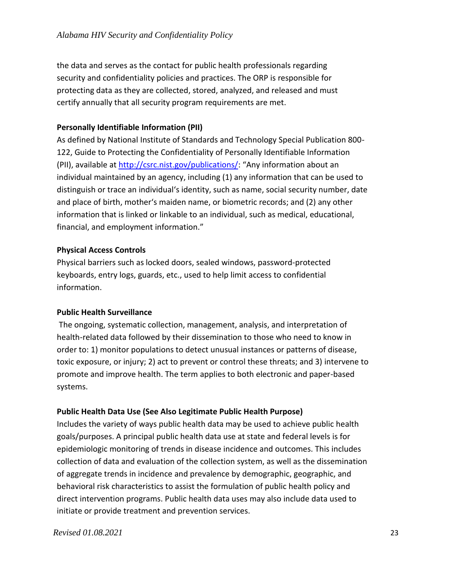the data and serves as the contact for public health professionals regarding security and confidentiality policies and practices. The ORP is responsible for protecting data as they are collected, stored, analyzed, and released and must certify annually that all security program requirements are met.

#### <span id="page-22-0"></span>**Personally Identifiable Information (PII)**

As defined by National Institute of Standards and Technology Special Publication 800- 122, Guide to Protecting the Confidentiality of Personally Identifiable Information (PII), available at<http://csrc.nist.gov/publications/>: "Any information about an individual maintained by an agency, including (1) any information that can be used to distinguish or trace an individual's identity, such as name, social security number, date and place of birth, mother's maiden name, or biometric records; and (2) any other information that is linked or linkable to an individual, such as medical, educational, financial, and employment information."

#### <span id="page-22-1"></span>**Physical Access Controls**

Physical barriers such as locked doors, sealed windows, password-protected keyboards, entry logs, guards, etc., used to help limit access to confidential information.

#### <span id="page-22-2"></span>**Public Health Surveillance**

The ongoing, systematic collection, management, analysis, and interpretation of health-related data followed by their dissemination to those who need to know in order to: 1) monitor populations to detect unusual instances or patterns of disease, toxic exposure, or injury; 2) act to prevent or control these threats; and 3) intervene to promote and improve health. The term applies to both electronic and paper-based systems.

#### <span id="page-22-3"></span>**Public Health Data Use (See Also Legitimate Public Health Purpose)**

Includes the variety of ways public health data may be used to achieve public health goals/purposes. A principal public health data use at state and federal levels is for epidemiologic monitoring of trends in disease incidence and outcomes. This includes collection of data and evaluation of the collection system, as well as the dissemination of aggregate trends in incidence and prevalence by demographic, geographic, and behavioral risk characteristics to assist the formulation of public health policy and direct intervention programs. Public health data uses may also include data used to initiate or provide treatment and prevention services.

#### *Revised 01.08.2021* 23